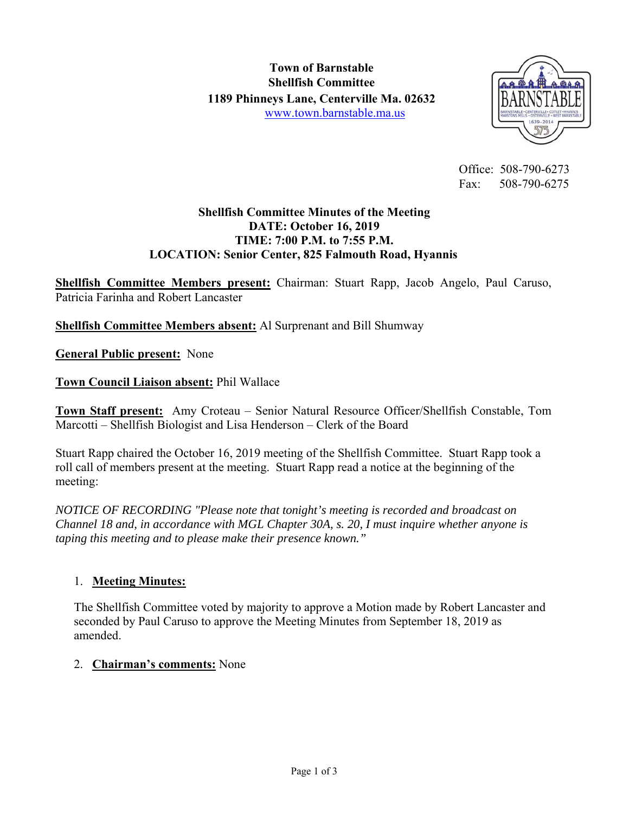

 Office: 508-790-6273 Fax: 508-790-6275

## **Shellfish Committee Minutes of the Meeting DATE: October 16, 2019 TIME: 7:00 P.M. to 7:55 P.M. LOCATION: Senior Center, 825 Falmouth Road, Hyannis**

**Shellfish Committee Members present:** Chairman: Stuart Rapp, Jacob Angelo, Paul Caruso, Patricia Farinha and Robert Lancaster

**Shellfish Committee Members absent:** Al Surprenant and Bill Shumway

**General Public present:** None

**Town Council Liaison absent:** Phil Wallace

**Town Staff present:** Amy Croteau – Senior Natural Resource Officer/Shellfish Constable, Tom Marcotti – Shellfish Biologist and Lisa Henderson – Clerk of the Board

Stuart Rapp chaired the October 16, 2019 meeting of the Shellfish Committee. Stuart Rapp took a roll call of members present at the meeting. Stuart Rapp read a notice at the beginning of the meeting:

*NOTICE OF RECORDING "Please note that tonight's meeting is recorded and broadcast on Channel 18 and, in accordance with MGL Chapter 30A, s. 20, I must inquire whether anyone is taping this meeting and to please make their presence known."* 

## 1. **Meeting Minutes:**

The Shellfish Committee voted by majority to approve a Motion made by Robert Lancaster and seconded by Paul Caruso to approve the Meeting Minutes from September 18, 2019 as amended.

## 2. **Chairman's comments:** None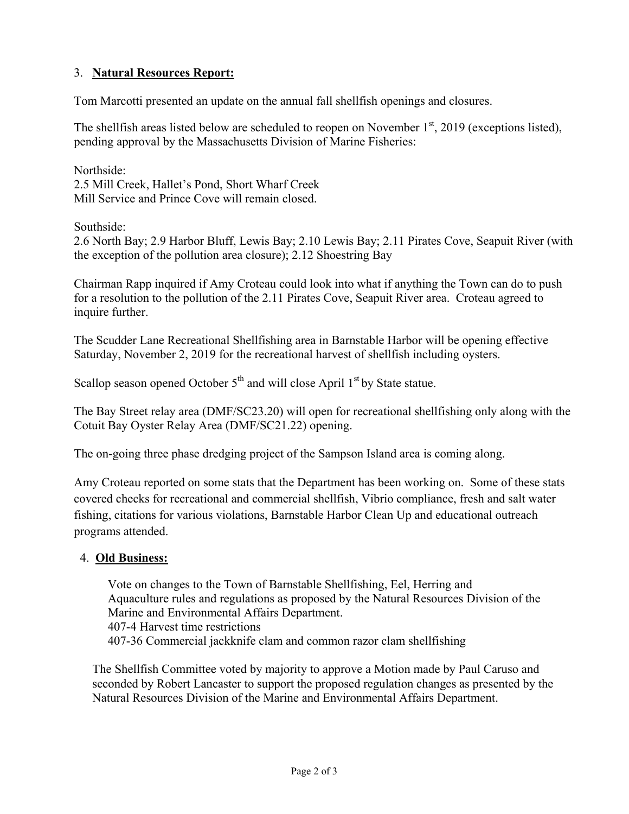# 3. **Natural Resources Report:**

Tom Marcotti presented an update on the annual fall shellfish openings and closures.

The shellfish areas listed below are scheduled to reopen on November  $1<sup>st</sup>$ , 2019 (exceptions listed), pending approval by the Massachusetts Division of Marine Fisheries:

Northside: 2.5 Mill Creek, Hallet's Pond, Short Wharf Creek Mill Service and Prince Cove will remain closed.

Southside:

2.6 North Bay; 2.9 Harbor Bluff, Lewis Bay; 2.10 Lewis Bay; 2.11 Pirates Cove, Seapuit River (with the exception of the pollution area closure); 2.12 Shoestring Bay

Chairman Rapp inquired if Amy Croteau could look into what if anything the Town can do to push for a resolution to the pollution of the 2.11 Pirates Cove, Seapuit River area. Croteau agreed to inquire further.

The Scudder Lane Recreational Shellfishing area in Barnstable Harbor will be opening effective Saturday, November 2, 2019 for the recreational harvest of shellfish including oysters.

Scallop season opened October  $5<sup>th</sup>$  and will close April  $1<sup>st</sup>$  by State statue.

The Bay Street relay area (DMF/SC23.20) will open for recreational shellfishing only along with the Cotuit Bay Oyster Relay Area (DMF/SC21.22) opening.

The on-going three phase dredging project of the Sampson Island area is coming along.

Amy Croteau reported on some stats that the Department has been working on. Some of these stats covered checks for recreational and commercial shellfish, Vibrio compliance, fresh and salt water fishing, citations for various violations, Barnstable Harbor Clean Up and educational outreach programs attended.

## 4. **Old Business:**

Vote on changes to the Town of Barnstable Shellfishing, Eel, Herring and Aquaculture rules and regulations as proposed by the Natural Resources Division of the Marine and Environmental Affairs Department. 407-4 Harvest time restrictions 407-36 Commercial jackknife clam and common razor clam shellfishing

The Shellfish Committee voted by majority to approve a Motion made by Paul Caruso and seconded by Robert Lancaster to support the proposed regulation changes as presented by the Natural Resources Division of the Marine and Environmental Affairs Department.